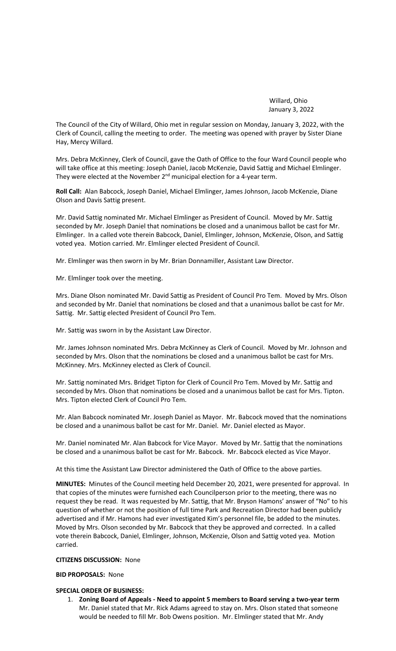Willard, Ohio January 3, 2022

The Council of the City of Willard, Ohio met in regular session on Monday, January 3, 2022, with the Clerk of Council, calling the meeting to order. The meeting was opened with prayer by Sister Diane Hay, Mercy Willard.

Mrs. Debra McKinney, Clerk of Council, gave the Oath of Office to the four Ward Council people who will take office at this meeting: Joseph Daniel, Jacob McKenzie, David Sattig and Michael Elmlinger. They were elected at the November 2<sup>nd</sup> municipal election for a 4-year term.

**Roll Call:** Alan Babcock, Joseph Daniel, Michael Elmlinger, James Johnson, Jacob McKenzie, Diane Olson and Davis Sattig present.

Mr. David Sattig nominated Mr. Michael Elmlinger as President of Council. Moved by Mr. Sattig seconded by Mr. Joseph Daniel that nominations be closed and a unanimous ballot be cast for Mr. Elmlinger. In a called vote therein Babcock, Daniel, Elmlinger, Johnson, McKenzie, Olson, and Sattig voted yea. Motion carried. Mr. Elmlinger elected President of Council.

Mr. Elmlinger was then sworn in by Mr. Brian Donnamiller, Assistant Law Director.

Mr. Elmlinger took over the meeting.

Mrs. Diane Olson nominated Mr. David Sattig as President of Council Pro Tem. Moved by Mrs. Olson and seconded by Mr. Daniel that nominations be closed and that a unanimous ballot be cast for Mr. Sattig. Mr. Sattig elected President of Council Pro Tem.

Mr. Sattig was sworn in by the Assistant Law Director.

Mr. James Johnson nominated Mrs. Debra McKinney as Clerk of Council. Moved by Mr. Johnson and seconded by Mrs. Olson that the nominations be closed and a unanimous ballot be cast for Mrs. McKinney. Mrs. McKinney elected as Clerk of Council.

Mr. Sattig nominated Mrs. Bridget Tipton for Clerk of Council Pro Tem. Moved by Mr. Sattig and seconded by Mrs. Olson that nominations be closed and a unanimous ballot be cast for Mrs. Tipton. Mrs. Tipton elected Clerk of Council Pro Tem.

Mr. Alan Babcock nominated Mr. Joseph Daniel as Mayor. Mr. Babcock moved that the nominations be closed and a unanimous ballot be cast for Mr. Daniel. Mr. Daniel elected as Mayor.

Mr. Daniel nominated Mr. Alan Babcock for Vice Mayor. Moved by Mr. Sattig that the nominations be closed and a unanimous ballot be cast for Mr. Babcock. Mr. Babcock elected as Vice Mayor.

At this time the Assistant Law Director administered the Oath of Office to the above parties.

**MINUTES:** Minutes of the Council meeting held December 20, 2021, were presented for approval. In that copies of the minutes were furnished each Councilperson prior to the meeting, there was no request they be read. It was requested by Mr. Sattig, that Mr. Bryson Hamons' answer of "No" to his question of whether or not the position of full time Park and Recreation Director had been publicly advertised and if Mr. Hamons had ever investigated Kim's personnel file, be added to the minutes. Moved by Mrs. Olson seconded by Mr. Babcock that they be approved and corrected. In a called vote therein Babcock, Daniel, Elmlinger, Johnson, McKenzie, Olson and Sattig voted yea. Motion carried.

#### **CITIZENS DISCUSSION:** None

**BID PROPOSALS:** None

# **SPECIAL ORDER OF BUSINESS:**

1. **Zoning Board of Appeals - Need to appoint 5 members to Board serving a two-year term** Mr. Daniel stated that Mr. Rick Adams agreed to stay on. Mrs. Olson stated that someone would be needed to fill Mr. Bob Owens position. Mr. Elmlinger stated that Mr. Andy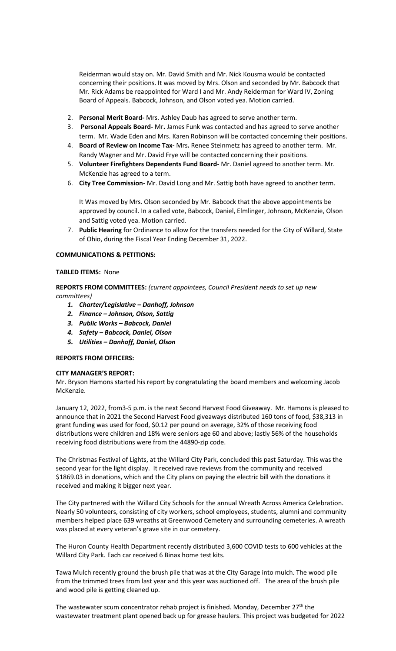Reiderman would stay on. Mr. David Smith and Mr. Nick Kousma would be contacted concerning their positions. It was moved by Mrs. Olson and seconded by Mr. Babcock that Mr. Rick Adams be reappointed for Ward I and Mr. Andy Reiderman for Ward IV, Zoning Board of Appeals. Babcock, Johnson, and Olson voted yea. Motion carried.

- 2. **Personal Merit Board-** Mrs. Ashley Daub has agreed to serve another term.
- 3. **Personal Appeals Board-** Mr**.** James Funk was contacted and has agreed to serve another term. Mr. Wade Eden and Mrs. Karen Robinson will be contacted concerning their positions.
- 4. **Board of Review on Income Tax-** Mrs**.** Renee Steinmetz has agreed to another term. Mr. Randy Wagner and Mr. David Frye will be contacted concerning their positions.
- 5. **Volunteer Firefighters Dependents Fund Board-** Mr. Daniel agreed to another term. Mr. McKenzie has agreed to a term.
- 6. **City Tree Commission-** Mr. David Long and Mr. Sattig both have agreed to another term.

It Was moved by Mrs. Olson seconded by Mr. Babcock that the above appointments be approved by council. In a called vote, Babcock, Daniel, Elmlinger, Johnson, McKenzie, Olson and Sattig voted yea. Motion carried.

7. **Public Hearing** for Ordinance to allow for the transfers needed for the City of Willard, State of Ohio, during the Fiscal Year Ending December 31, 2022.

### **COMMUNICATIONS & PETITIONS:**

#### **TABLED ITEMS:** None

**REPORTS FROM COMMITTEES:** *(current appointees, Council President needs to set up new committees)*

- *1. Charter/Legislative – Danhoff, Johnson*
- *2. Finance – Johnson, Olson, Sattig*
- *3. Public Works – Babcock, Daniel*
- *4. Safety – Babcock, Daniel, Olson*
- *5. Utilities – Danhoff, Daniel, Olson*

### **REPORTS FROM OFFICERS:**

#### **CITY MANAGER'S REPORT:**

Mr. Bryson Hamons started his report by congratulating the board members and welcoming Jacob McKenzie.

January 12, 2022, from3-5 p.m. is the next Second Harvest Food Giveaway. Mr. Hamons is pleased to announce that in 2021 the Second Harvest Food giveaways distributed 160 tons of food, \$38,313 in grant funding was used for food, \$0.12 per pound on average, 32% of those receiving food distributions were children and 18% were seniors age 60 and above; lastly 56% of the households receiving food distributions were from the 44890-zip code.

The Christmas Festival of Lights, at the Willard City Park, concluded this past Saturday. This was the second year for the light display. It received rave reviews from the community and received \$1869.03 in donations, which and the City plans on paying the electric bill with the donations it received and making it bigger next year.

The City partnered with the Willard City Schools for the annual Wreath Across America Celebration. Nearly 50 volunteers, consisting of city workers, school employees, students, alumni and community members helped place 639 wreaths at Greenwood Cemetery and surrounding cemeteries. A wreath was placed at every veteran's grave site in our cemetery.

The Huron County Health Department recently distributed 3,600 COVID tests to 600 vehicles at the Willard City Park. Each car received 6 Binax home test kits.

Tawa Mulch recently ground the brush pile that was at the City Garage into mulch. The wood pile from the trimmed trees from last year and this year was auctioned off. The area of the brush pile and wood pile is getting cleaned up.

The wastewater scum concentrator rehab project is finished. Monday, December  $27<sup>th</sup>$  the wastewater treatment plant opened back up for grease haulers. This project was budgeted for 2022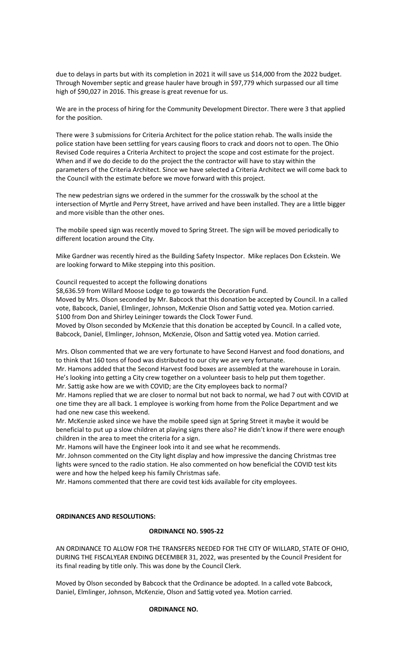due to delays in parts but with its completion in 2021 it will save us \$14,000 from the 2022 budget. Through November septic and grease hauler have brough in \$97,779 which surpassed our all time high of \$90,027 in 2016. This grease is great revenue for us.

We are in the process of hiring for the Community Development Director. There were 3 that applied for the position.

There were 3 submissions for Criteria Architect for the police station rehab. The walls inside the police station have been settling for years causing floors to crack and doors not to open. The Ohio Revised Code requires a Criteria Architect to project the scope and cost estimate for the project. When and if we do decide to do the project the the contractor will have to stay within the parameters of the Criteria Architect. Since we have selected a Criteria Architect we will come back to the Council with the estimate before we move forward with this project.

The new pedestrian signs we ordered in the summer for the crosswalk by the school at the intersection of Myrtle and Perry Street, have arrived and have been installed. They are a little bigger and more visible than the other ones.

The mobile speed sign was recently moved to Spring Street. The sign will be moved periodically to different location around the City.

Mike Gardner was recently hired as the Building Safety Inspector. Mike replaces Don Eckstein. We are looking forward to Mike stepping into this position.

Council requested to accept the following donations

\$8,636.59 from Willard Moose Lodge to go towards the Decoration Fund.

Moved by Mrs. Olson seconded by Mr. Babcock that this donation be accepted by Council. In a called vote, Babcock, Daniel, Elmlinger, Johnson, McKenzie Olson and Sattig voted yea. Motion carried. \$100 from Don and Shirley Leininger towards the Clock Tower Fund.

Moved by Olson seconded by McKenzie that this donation be accepted by Council. In a called vote, Babcock, Daniel, Elmlinger, Johnson, McKenzie, Olson and Sattig voted yea. Motion carried.

Mrs. Olson commented that we are very fortunate to have Second Harvest and food donations, and to think that 160 tons of food was distributed to our city we are very fortunate.

Mr. Hamons added that the Second Harvest food boxes are assembled at the warehouse in Lorain. He's looking into getting a City crew together on a volunteer basis to help put them together. Mr. Sattig aske how are we with COVID; are the City employees back to normal?

Mr. Hamons replied that we are closer to normal but not back to normal, we had 7 out with COVID at one time they are all back. 1 employee is working from home from the Police Department and we had one new case this weekend.

Mr. McKenzie asked since we have the mobile speed sign at Spring Street it maybe it would be beneficial to put up a slow children at playing signs there also? He didn't know if there were enough children in the area to meet the criteria for a sign.

Mr. Hamons will have the Engineer look into it and see what he recommends.

Mr. Johnson commented on the City light display and how impressive the dancing Christmas tree lights were synced to the radio station. He also commented on how beneficial the COVID test kits were and how the helped keep his family Christmas safe.

Mr. Hamons commented that there are covid test kids available for city employees.

# **ORDINANCES AND RESOLUTIONS:**

### **ORDINANCE NO. 5905-22**

AN ORDINANCE TO ALLOW FOR THE TRANSFERS NEEDED FOR THE CITY OF WILLARD, STATE OF OHIO, DURING THE FISCALYEAR ENDING DECEMBER 31, 2022, was presented by the Council President for its final reading by title only. This was done by the Council Clerk.

Moved by Olson seconded by Babcock that the Ordinance be adopted. In a called vote Babcock, Daniel, Elmlinger, Johnson, McKenzie, Olson and Sattig voted yea. Motion carried.

#### **ORDINANCE NO.**